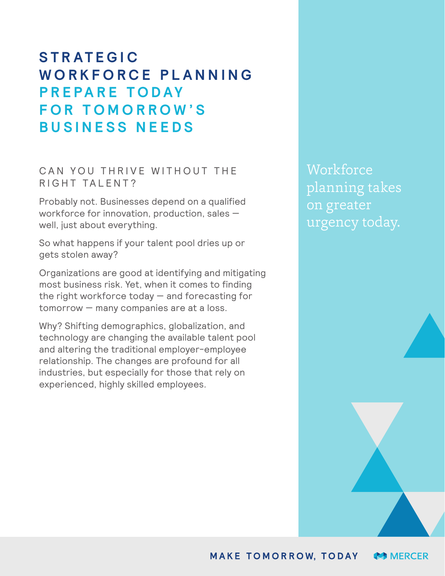# **S T R A T E G I C W O R K F O R C E P L A N N I N G PREPARE TODAY F O R T O M O R R O W ' S BUSINESS NEEDS**

### CAN YOU THRIVE WITHOUT THE RIGHT TALENT?

Probably not. Businesses depend on a qualified workforce for innovation, production, sales well, just about everything.

So what happens if your talent pool dries up or gets stolen away?

Organizations are good at identifying and mitigating most business risk. Yet, when it comes to finding the right workforce today  $-$  and forecasting for tomorrow — many companies are at a loss.

Why? Shifting demographics, globalization, and technology are changing the available talent pool and altering the traditional employer-employee relationship. The changes are profound for all industries, but especially for those that rely on experienced, highly skilled employees.

**Workforce** planning takes on greater urgency today.

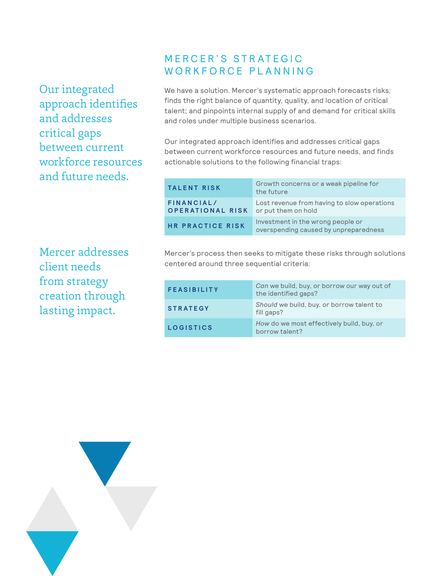Our integrated approach identifies and addresses critical gaps between current workforce resources and future needs.

## **MERCER'S STRATEGIC** WORKFORCE PLANNING

We have a solution. Mercer's systematic approach forecasts risks; finds the right balance of quantity, quality, and location of critical talent; and pinpoints internal supply of and demand for critical skills and roles under multiple business scenarios.

Our integrated approach identifies and addresses critical gaps between current workforce resources and future needs, and finds actionable solutions to the following financial traps:

| <b>TALENT RISK</b>                    | Growth concerns or a weak pipeline for<br>the future                       |
|---------------------------------------|----------------------------------------------------------------------------|
| FINANCIAL/<br><b>OPERATIONAL RISK</b> | Lost revenue from having to slow operations<br>or put them on hold         |
| <b>HR PRACTICE RISK</b>               | Investment in the wrong people or<br>overspending caused by unpreparedness |

Mercer addresses client needs from strategy creation through lasting impact.

Mercer's process then seeks to mitigate these risks through solutions centered around three sequential criteria:

| <b>FEASIBILITY</b> | Can we build, buy, or borrow our way out of<br>the identified gaps? |
|--------------------|---------------------------------------------------------------------|
| <b>STRATEGY</b>    | Should we build, buy, or borrow talent to<br>fill gaps?             |
| <b>LOGISTICS</b>   | How do we most effectively build, buy, or<br>borrow talent?         |

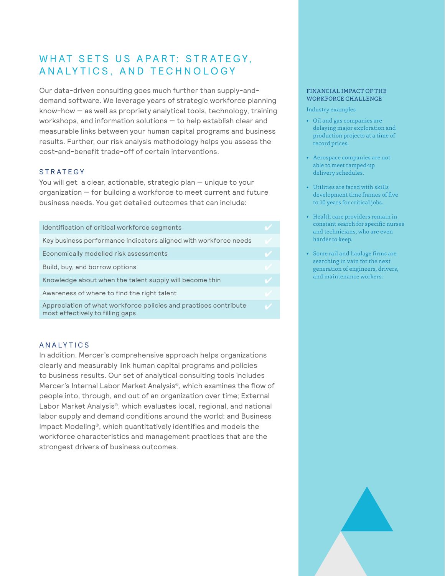## WHAT SETS US APART: STRATEGY, AN ALYTICS, AND TECHNOLOGY

Our data-driven consulting goes much further than supply-anddemand software. We leverage years of strategic workforce planning know-how — as well as propriety analytical tools, technology, training workshops, and information solutions — to help establish clear and measurable links between your human capital programs and business results. Further, our risk analysis methodology helps you assess the cost-and-benefit trade-off of certain interventions.

### **STRATEGY**

You will get a clear, actionable, strategic plan — unique to your organization — for building a workforce to meet current and future business needs. You get detailed outcomes that can include:

| Identification of critical workforce segments                                                        |        |
|------------------------------------------------------------------------------------------------------|--------|
| Key business performance indicators aligned with workforce needs                                     |        |
| Economically modelled risk assessments                                                               |        |
| Build, buy, and borrow options                                                                       |        |
| Knowledge about when the talent supply will become thin                                              | $\sim$ |
| Awareness of where to find the right talent                                                          |        |
| Appreciation of what workforce policies and practices contribute<br>most effectively to filling gaps | U      |

#### **ANALYTICS**

In addition, Mercer's comprehensive approach helps organizations clearly and measurably link human capital programs and policies to business results. Our set of analytical consulting tools includes Mercer's Internal Labor Market Analysis®, which examines the flow of people into, through, and out of an organization over time; External Labor Market Analysis®, which evaluates local, regional, and national labor supply and demand conditions around the world; and Business Impact Modeling®, which quantitatively identifies and models the workforce characteristics and management practices that are the strongest drivers of business outcomes.

#### FINANCIAL IMPACT OF THE WORKFORCE CHALLENGE

Industry examples

- Oil and gas companies are delaying major exploration and production projects at a time of record prices.
- Aerospace companies are not able to meet ramped-up delivery schedules.
- Utilities are faced with skills development time frames of five to 10 years for critical jobs.
- Health care providers remain in constant search for specific nurses and technicians, who are even harder to keep.
- Some rail and haulage firms are searching in vain for the next generation of engineers, drivers, and maintenance workers.